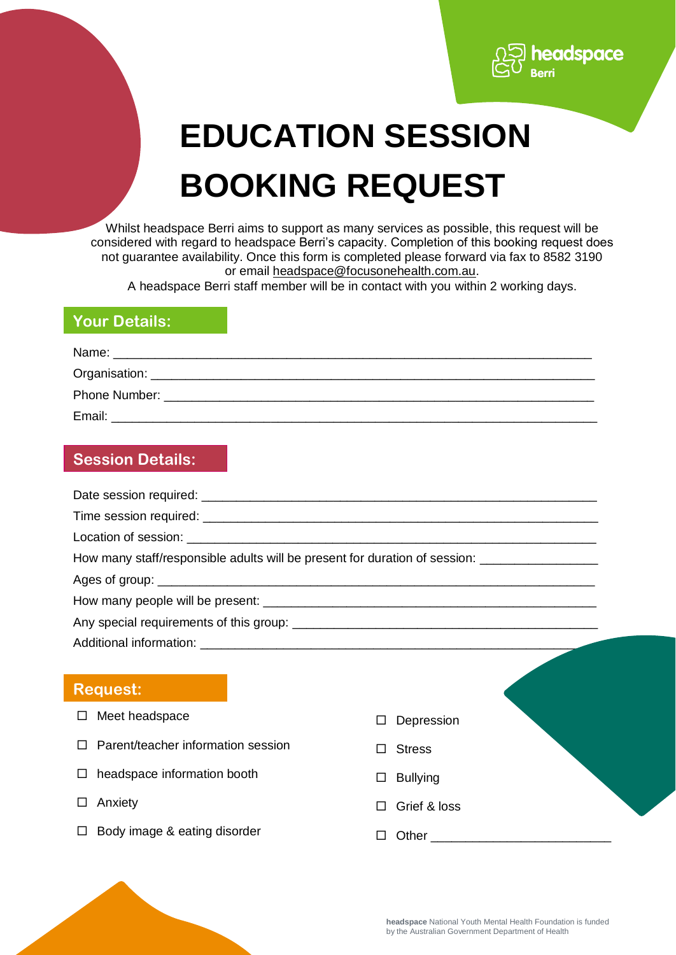# **EDUCATION SESSION BOOKING REQUEST**

headspace

Whilst headspace Berri aims to support as many services as possible, this request will be considered with regard to headspace Berri's capacity. Completion of this booking request does not guarantee availability. Once this form is completed please forward via fax to 8582 3190 or email [headspace@focusonehealth.com.au.](mailto:headspace@focusonehealth.com.au)

A headspace Berri staff member will be in contact with you within 2 working days.

## **Your Details:**

| Name:             |  |  |
|-------------------|--|--|
| Organisation: ___ |  |  |
| Phone Number:     |  |  |
| Email:            |  |  |

## **Session Details:**

| UCOOIUII DELAIIO.                       |                                                                                                     |
|-----------------------------------------|-----------------------------------------------------------------------------------------------------|
|                                         |                                                                                                     |
|                                         |                                                                                                     |
|                                         |                                                                                                     |
|                                         | How many staff/responsible adults will be present for duration of session: ________________________ |
|                                         |                                                                                                     |
|                                         |                                                                                                     |
|                                         |                                                                                                     |
|                                         |                                                                                                     |
|                                         |                                                                                                     |
| <b>Request:</b>                         |                                                                                                     |
| Meet headspace<br>$\Box$                | Depression                                                                                          |
| Parent/teacher information session<br>П | <b>Stress</b>                                                                                       |
| headspace information booth<br>$\Box$   | <b>Bullying</b><br>ப                                                                                |
| Anxiety<br>$\Box$                       | Grief & loss<br>П                                                                                   |
| Body image & eating disorder            | $\Box$                                                                                              |
|                                         |                                                                                                     |
|                                         |                                                                                                     |